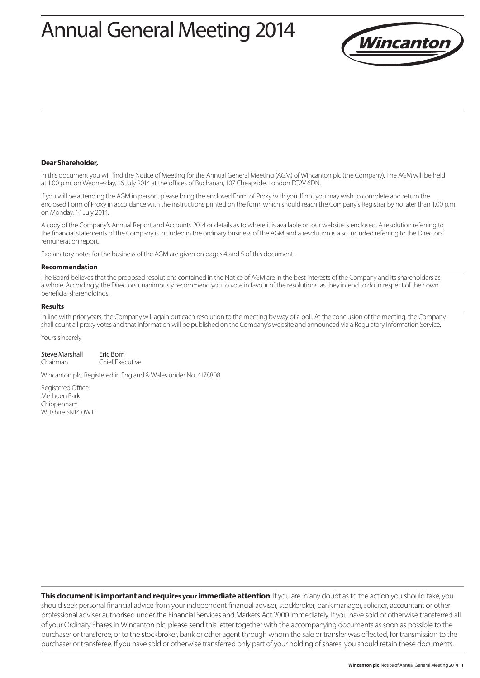# Annual General Meeting 2014



#### **Dear Shareholder,**

In this document you will find the Notice of Meeting for the Annual General Meeting (AGM) of Wincanton plc (the Company). The AGM will be held at 1.00 p.m. on Wednesday, 16 July 2014 at the offices of Buchanan, 107 Cheapside, London EC2V 6DN.

If you will be attending the AGM in person, please bring the enclosed Form of Proxy with you. If not you may wish to complete and return the enclosed Form of Proxy in accordance with the instructions printed on the form, which should reach the Company's Registrar by no later than 1.00 p.m. on Monday, 14 July 2014.

A copy of the Company's Annual Report and Accounts 2014 or details as to where it is available on our website is enclosed. A resolution referring to the financial statements of the Company is included in the ordinary business of the AGM and a resolution is also included referring to the Directors' remuneration report.

Explanatory notes for the business of the AGM are given on pages 4 and 5 of this document.

#### **Recommendation**

The Board believes that the proposed resolutions contained in the Notice of AGM are in the best interests of the Company and its shareholders as a whole. Accordingly, the Directors unanimously recommend you to vote in favour of the resolutions, as they intend to do in respect of their own beneficial shareholdings.

#### **Results**

In line with prior years, the Company will again put each resolution to the meeting by way of a poll. At the conclusion of the meeting, the Company shall count all proxy votes and that information will be published on the Company's website and announced via a Regulatory Information Service.

Yours sincerely

| Steve Marshall | Eric Born       |
|----------------|-----------------|
| Chairman       | Chief Executive |

Wincanton plc, Registered in England & Wales under No. 4178808

Registered Office: Methuen Park Chippenham Wiltshire SN14 0WT

**This document is important and requires your immediate attention**. If you are in any doubt as to the action you should take, you should seek personal financial advice from your independent financial adviser, stockbroker, bank manager, solicitor, accountant or other professional adviser authorised under the Financial Services and Markets Act 2000 immediately. If you have sold or otherwise transferred all of your Ordinary Shares in Wincanton plc, please send this letter together with the accompanying documents as soon as possible to the purchaser or transferee, or to the stockbroker, bank or other agent through whom the sale or transfer was effected, for transmission to the purchaser or transferee. If you have sold or otherwise transferred only part of your holding of shares, you should retain these documents.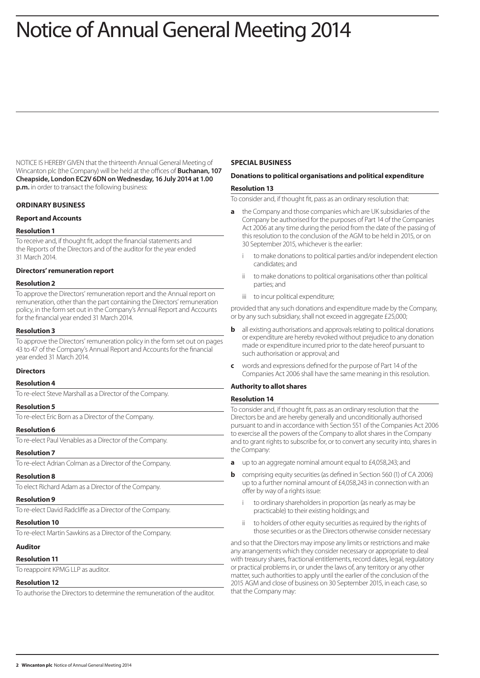# Notice of Annual General Meeting 2014

NOTICE IS HEREBY GIVEN that the thirteenth Annual General Meeting of Wincanton plc (the Company) will be held at the offices of **Buchanan, 107 Cheapside, London EC2V 6DN on Wednesday, 16 July 2014 at 1.00 p.m.** in order to transact the following business:

## **ORDINARY BUSINESS**

## **Report and Accounts**

#### **Resolution 1**

To receive and, if thought fit, adopt the financial statements and the Reports of the Directors and of the auditor for the year ended 31 March 2014.

## **Directors' remuneration report**

#### **Resolution 2**

To approve the Directors' remuneration report and the Annual report on remuneration, other than the part containing the Directors' remuneration policy, in the form set out in the Company's Annual Report and Accounts for the financial year ended 31 March 2014.

## **Resolution 3**

To approve the Directors' remuneration policy in the form set out on pages 43 to 47 of the Company's Annual Report and Accounts for the financial year ended 31 March 2014.

#### **Directors**

# **Resolution 4**

To re-elect Steve Marshall as a Director of the Company.

#### **Resolution 5**

To re-elect Eric Born as a Director of the Company.

#### **Resolution 6**

To re-elect Paul Venables as a Director of the Company.

#### **Resolution 7**

To re-elect Adrian Colman as a Director of the Company.

#### **Resolution 8**

To elect Richard Adam as a Director of the Company.

#### **Resolution 9**

To re-elect David Radcliffe as a Director of the Company.

#### **Resolution 10**

To re-elect Martin Sawkins as a Director of the Company.

#### **Auditor**

#### **Resolution 11**

To reappoint KPMG LLP as auditor.

#### **Resolution 12**

To authorise the Directors to determine the remuneration of the auditor.

#### **SPECIAL BUSINESS**

# **Donations to political organisations and political expenditure**

#### **Resolution 13**

To consider and, if thought fit, pass as an ordinary resolution that:

- **a** the Company and those companies which are UK subsidiaries of the Company be authorised for the purposes of Part 14 of the Companies Act 2006 at any time during the period from the date of the passing of this resolution to the conclusion of the AGM to be held in 2015, or on 30 September 2015, whichever is the earlier:
	- to make donations to political parties and/or independent election candidates; and
	- ii to make donations to political organisations other than political parties; and
	- iii to incur political expenditure;

provided that any such donations and expenditure made by the Company, or by any such subsidiary, shall not exceed in aggregate £25,000;

- **b** all existing authorisations and approvals relating to political donations or expenditure are hereby revoked without prejudice to any donation made or expenditure incurred prior to the date hereof pursuant to such authorisation or approval; and
- **c** words and expressions defined for the purpose of Part 14 of the Companies Act 2006 shall have the same meaning in this resolution.

# **Authority to allot shares**

#### **Resolution 14**

To consider and, if thought fit, pass as an ordinary resolution that the Directors be and are hereby generally and unconditionally authorised pursuant to and in accordance with Section 551 of the Companies Act 2006 to exercise all the powers of the Company to allot shares in the Company and to grant rights to subscribe for, or to convert any security into, shares in the Company:

- **a** up to an aggregate nominal amount equal to £4,058,243; and
- **b** comprising equity securities (as defined in Section 560 (1) of CA 2006) up to a further nominal amount of £4,058,243 in connection with an offer by way of a rights issue:
	- to ordinary shareholders in proportion (as nearly as may be practicable) to their existing holdings; and
	- ii to holders of other equity securities as required by the rights of those securities or as the Directors otherwise consider necessary

and so that the Directors may impose any limits or restrictions and make any arrangements which they consider necessary or appropriate to deal with treasury shares, fractional entitlements, record dates, legal, regulatory or practical problems in, or under the laws of, any territory or any other matter, such authorities to apply until the earlier of the conclusion of the 2015 AGM and close of business on 30 September 2015, in each case, so that the Company may: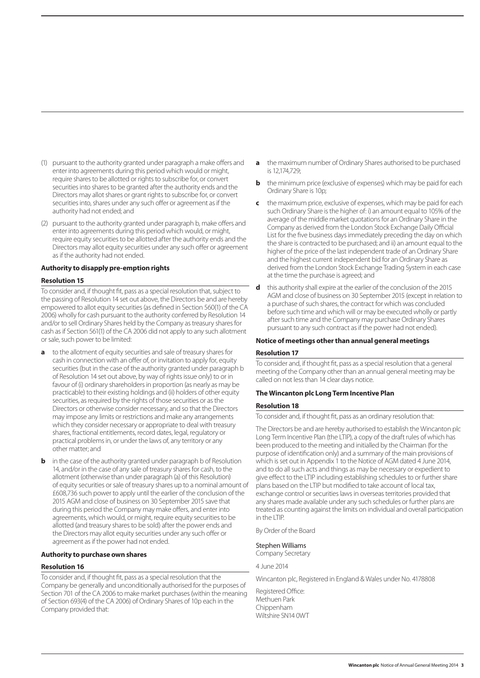- (1) pursuant to the authority granted under paragraph a make offers and enter into agreements during this period which would or might, require shares to be allotted or rights to subscribe for, or convert securities into shares to be granted after the authority ends and the Directors may allot shares or grant rights to subscribe for, or convert securities into, shares under any such offer or agreement as if the authority had not ended; and
- (2) pursuant to the authority granted under paragraph b, make offers and enter into agreements during this period which would, or might, require equity securities to be allotted after the authority ends and the Directors may allot equity securities under any such offer or agreement as if the authority had not ended.

#### **Authority to disapply pre-emption rights**

#### **Resolution 15**

To consider and, if thought fit, pass as a special resolution that, subject to the passing of Resolution 14 set out above, the Directors be and are hereby empowered to allot equity securities (as defined in Section 560(1) of the CA 2006) wholly for cash pursuant to the authority conferred by Resolution 14 and/or to sell Ordinary Shares held by the Company as treasury shares for cash as if Section 561(1) of the CA 2006 did not apply to any such allotment or sale, such power to be limited:

- **a** to the allotment of equity securities and sale of treasury shares for cash in connection with an offer of, or invitation to apply for, equity securities (but in the case of the authority granted under paragraph b of Resolution 14 set out above, by way of rights issue only) to or in favour of (i) ordinary shareholders in proportion (as nearly as may be practicable) to their existing holdings and (ii) holders of other equity securities, as required by the rights of those securities or as the Directors or otherwise consider necessary, and so that the Directors may impose any limits or restrictions and make any arrangements which they consider necessary or appropriate to deal with treasury shares, fractional entitlements, record dates, legal, regulatory or practical problems in, or under the laws of, any territory or any other matter; and
- **b** in the case of the authority granted under paragraph b of Resolution 14, and/or in the case of any sale of treasury shares for cash, to the allotment (otherwise than under paragraph (a) of this Resolution) of equity securities or sale of treasury shares up to a nominal amount of £608,736 such power to apply until the earlier of the conclusion of the 2015 AGM and close of business on 30 September 2015 save that during this period the Company may make offers, and enter into agreements, which would, or might, require equity securities to be allotted (and treasury shares to be sold) after the power ends and the Directors may allot equity securities under any such offer or agreement as if the power had not ended.

## **Authority to purchase own shares**

#### **Resolution 16**

To consider and, if thought fit, pass as a special resolution that the Company be generally and unconditionally authorised for the purposes of Section 701 of the CA 2006 to make market purchases (within the meaning of Section 693(4) of the CA 2006) of Ordinary Shares of 10p each in the Company provided that:

- **a** the maximum number of Ordinary Shares authorised to be purchased is 12,174,729;
- **b** the minimum price (exclusive of expenses) which may be paid for each Ordinary Share is 10p;
- **c** the maximum price, exclusive of expenses, which may be paid for each such Ordinary Share is the higher of: i) an amount equal to 105% of the average of the middle market quotations for an Ordinary Share in the Company as derived from the London Stock Exchange Daily Official List for the five business days immediately preceding the day on which the share is contracted to be purchased; and ii) an amount equal to the higher of the price of the last independent trade of an Ordinary Share and the highest current independent bid for an Ordinary Share as derived from the London Stock Exchange Trading System in each case at the time the purchase is agreed; and
- **d** this authority shall expire at the earlier of the conclusion of the 2015 AGM and close of business on 30 September 2015 (except in relation to a purchase of such shares, the contract for which was concluded before such time and which will or may be executed wholly or partly after such time and the Company may purchase Ordinary Shares pursuant to any such contract as if the power had not ended).

#### **Notice of meetings other than annual general meetings**

#### **Resolution 17**

To consider and, if thought fit, pass as a special resolution that a general meeting of the Company other than an annual general meeting may be called on not less than 14 clear days notice.

#### **The Wincanton plc Long Term Incentive Plan**

#### **Resolution 18**

To consider and, if thought fit, pass as an ordinary resolution that:

The Directors be and are hereby authorised to establish the Wincanton plc Long Term Incentive Plan (the LTIP), a copy of the draft rules of which has been produced to the meeting and initialled by the Chairman (for the purpose of identification only) and a summary of the main provisions of which is set out in Appendix 1 to the Notice of AGM dated 4 June 2014, and to do all such acts and things as may be necessary or expedient to give effect to the LTIP including establishing schedules to or further share plans based on the LTIP but modified to take account of local tax, exchange control or securities laws in overseas territories provided that any shares made available under any such schedules or further plans are treated as counting against the limits on individual and overall participation in the LTIP.

By Order of the Board

#### Stephen Williams

Company Secretary

4 June 2014

Wincanton plc, Registered in England & Wales under No. 4178808

Registered Office: Methuen Park Chippenham Wiltshire SN14 0WT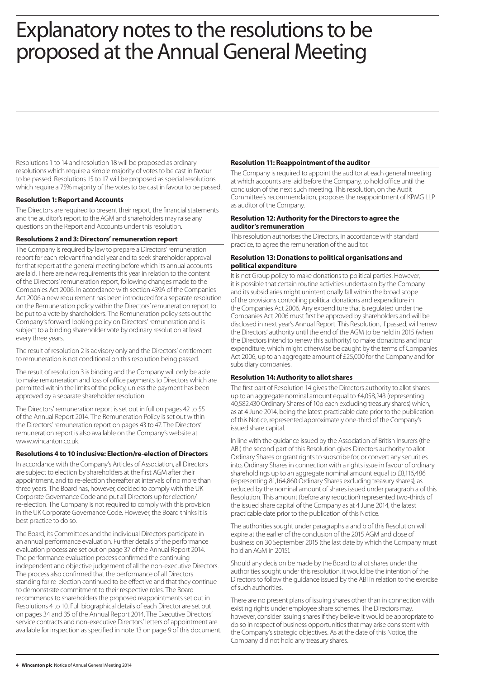# Explanatory notes to the resolutions to be proposed at the Annual General Meeting

Resolutions 1 to 14 and resolution 18 will be proposed as ordinary resolutions which require a simple majority of votes to be cast in favour to be passed. Resolutions 15 to 17 will be proposed as special resolutions which require a 75% majority of the votes to be cast in favour to be passed.

# **Resolution 1: Report and Accounts**

The Directors are required to present their report, the financial statements and the auditor's report to the AGM and shareholders may raise any questions on the Report and Accounts under this resolution.

## **Resolutions 2 and 3: Directors' remuneration report**

The Company is required by law to prepare a Directors' remuneration report for each relevant financial year and to seek shareholder approval for that report at the general meeting before which its annual accounts are laid. There are new requirements this year in relation to the content of the Directors' remuneration report, following changes made to the Companies Act 2006. In accordance with section 439A of the Companies Act 2006 a new requirement has been introduced for a separate resolution on the Remuneration policy within the Directors' remuneration report to be put to a vote by shareholders. The Remuneration policy sets out the Company's forward-looking policy on Directors' remuneration and is subject to a binding shareholder vote by ordinary resolution at least every three years.

The result of resolution 2 is advisory only and the Directors' entitlement to remuneration is not conditional on this resolution being passed.

The result of resolution 3 is binding and the Company will only be able to make remuneration and loss of office payments to Directors which are permitted within the limits of the policy, unless the payment has been approved by a separate shareholder resolution.

The Directors' remuneration report is set out in full on pages 42 to 55 of the Annual Report 2014. The Remuneration Policy is set out within the Directors' remuneration report on pages 43 to 47. The Directors' remuneration report is also available on the Company's website at www.wincanton.co.uk.

## **Resolutions 4 to 10 inclusive: Election/re-election of Directors**

In accordance with the Company's Articles of Association, all Directors are subject to election by shareholders at the first AGM after their appointment, and to re-election thereafter at intervals of no more than three years. The Board has, however, decided to comply with the UK Corporate Governance Code and put all Directors up for election/ re-election. The Company is not required to comply with this provision in the UK Corporate Governance Code. However, the Board thinks it is best practice to do so.

The Board, its Committees and the individual Directors participate in an annual performance evaluation. Further details of the performance evaluation process are set out on page 37 of the Annual Report 2014. The performance evaluation process confirmed the continuing independent and objective judgement of all the non-executive Directors. The process also confirmed that the performance of all Directors standing for re-election continued to be effective and that they continue to demonstrate commitment to their respective roles. The Board recommends to shareholders the proposed reappointments set out in Resolutions 4 to 10. Full biographical details of each Director are set out on pages 34 and 35 of the Annual Report 2014. The Executive Directors' service contracts and non-executive Directors' letters of appointment are available for inspection as specified in note 13 on page 9 of this document.

## **Resolution 11: Reappointment of the auditor**

The Company is required to appoint the auditor at each general meeting at which accounts are laid before the Company, to hold office until the conclusion of the next such meeting. This resolution, on the Audit Committee's recommendation, proposes the reappointment of KPMG LLP as auditor of the Company.

# **Resolution 12: Authority for the Directors to agree the auditor's remuneration**

This resolution authorises the Directors, in accordance with standard practice, to agree the remuneration of the auditor.

#### **Resolution 13: Donations to political organisations and political expenditure**

It is not Group policy to make donations to political parties. However, it is possible that certain routine activities undertaken by the Company and its subsidiaries might unintentionally fall within the broad scope of the provisions controlling political donations and expenditure in the Companies Act 2006. Any expenditure that is regulated under the Companies Act 2006 must first be approved by shareholders and will be disclosed in next year's Annual Report. This Resolution, if passed, will renew the Directors' authority until the end of the AGM to be held in 2015 (when the Directors intend to renew this authority) to make donations and incur expenditure, which might otherwise be caught by the terms of Companies Act 2006, up to an aggregate amount of £25,000 for the Company and for subsidiary companies.

## **Resolution 14: Authority to allot shares**

The first part of Resolution 14 gives the Directors authority to allot shares up to an aggregate nominal amount equal to £4,058,243 (representing 40,582,430 Ordinary Shares of 10p each excluding treasury shares) which, as at 4 June 2014, being the latest practicable date prior to the publication of this Notice, represented approximately one-third of the Company's issued share capital.

In line with the guidance issued by the Association of British Insurers (the ABI) the second part of this Resolution gives Directors authority to allot Ordinary Shares or grant rights to subscribe for, or convert any securities into, Ordinary Shares in connection with a rights issue in favour of ordinary shareholdings up to an aggregate nominal amount equal to £8,116,486 (representing 81,164,860 Ordinary Shares excluding treasury shares), as reduced by the nominal amount of shares issued under paragraph a of this Resolution. This amount (before any reduction) represented two-thirds of the issued share capital of the Company as at 4 June 2014, the latest practicable date prior to the publication of this Notice.

The authorities sought under paragraphs a and b of this Resolution will expire at the earlier of the conclusion of the 2015 AGM and close of business on 30 September 2015 (the last date by which the Company must hold an AGM in 2015).

Should any decision be made by the Board to allot shares under the authorities sought under this resolution, it would be the intention of the Directors to follow the guidance issued by the ABI in relation to the exercise of such authorities.

There are no present plans of issuing shares other than in connection with existing rights under employee share schemes. The Directors may, however, consider issuing shares if they believe it would be appropriate to do so in respect of business opportunities that may arise consistent with the Company's strategic objectives. As at the date of this Notice, the Company did not hold any treasury shares.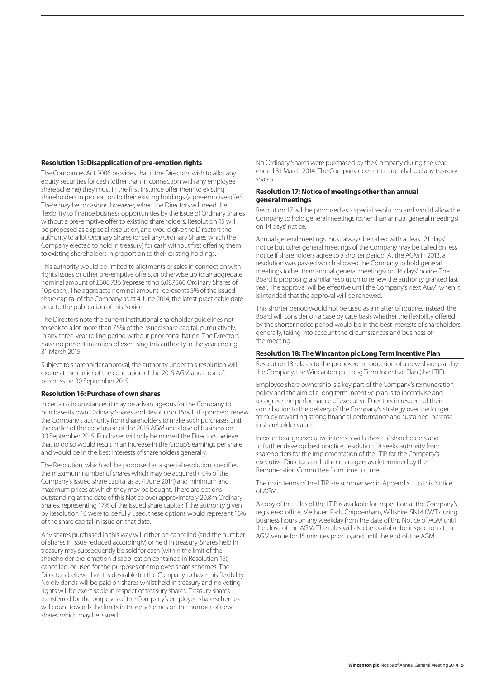## **Resolution 15: Disapplication of pre-emption rights**

The Companies Act 2006 provides that if the Directors wish to allot any equity securities for cash (other than in connection with any employee share scheme) they must in the first instance offer them to existing shareholders in proportion to their existing holdings (a pre-emptive offer). There may be occasions, however, when the Directors will need the flexibility to finance business opportunities by the issue of Ordinary Shares without a pre-emptive offer to existing shareholders. Resolution 15 will be proposed as a special resolution, and would give the Directors the authority to allot Ordinary Shares (or sell any Ordinary Shares which the Company elected to hold in treasury) for cash without first offering them to existing shareholders in proportion to their existing holdings.

This authority would be limited to allotments or sales in connection with rights issues or other pre-emptive offers, or otherwise up to an aggregate nominal amount of £608,736 (representing 6,087,360 Ordinary Shares of 10p each). The aggregate nominal amount represents 5% of the issued share capital of the Company as at 4 June 2014, the latest practicable date prior to the publication of this Notice.

The Directors note the current institutional shareholder guidelines not to seek to allot more than 7.5% of the issued share capital, cumulatively, in any three-year rolling period without prior consultation. The Directors have no present intention of exercising this authority in the year ending 31 March 2015.

Subject to shareholder approval, the authority under this resolution will expire at the earlier of the conclusion of the 2015 AGM and close of business on 30 September 2015.

#### **Resolution 16: Purchase of own shares**

In certain circumstances it may be advantageous for the Company to purchase its own Ordinary Shares and Resolution 16 will, if approved, renew the Company's authority from shareholders to make such purchases until the earlier of the conclusion of the 2015 AGM and close of business on 30 September 2015. Purchases will only be made if the Directors believe that to do so would result in an increase in the Group's earnings per share and would be in the best interests of shareholders generally.

The Resolution, which will be proposed as a special resolution, specifies the maximum number of shares which may be acquired (10% of the Company's issued share capital as at 4 June 2014) and minimum and maximum prices at which they may be bought. There are options outstanding at the date of this Notice over approximately 20.8m Ordinary Shares, representing 17% of the issued share capital; if the authority given by Resolution 16 were to be fully used, these options would represent 16% of the share capital in issue on that date.

Any shares purchased in this way will either be cancelled (and the number of shares in issue reduced accordingly) or held in treasury. Shares held in treasury may subsequently be sold for cash (within the limit of the shareholder pre-emption disapplication contained in Resolution 15), cancelled, or used for the purposes of employee share schemes. The Directors believe that it is desirable for the Company to have this flexibility. No dividends will be paid on shares whilst held in treasury and no voting rights will be exercisable in respect of treasury shares. Treasury shares transferred for the purposes of the Company's employee share schemes will count towards the limits in those schemes on the number of new shares which may be issued.

No Ordinary Shares were purchased by the Company during the year ended 31 March 2014. The Company does not currently hold any treasury shares.

#### **Resolution 17: Notice of meetings other than annual general meetings**

Resolution 17 will be proposed as a special resolution and would allow the Company to hold general meetings (other than annual general meetings) on 14 days' notice.

Annual general meetings must always be called with at least 21 days' notice but other general meetings of the Company may be called on less notice if shareholders agree to a shorter period. At the AGM in 2013, a resolution was passed which allowed the Company to hold general meetings (other than annual general meetings) on 14 days' notice. The Board is proposing a similar resolution to renew the authority granted last year. The approval will be effective until the Company's next AGM, when it is intended that the approval will be renewed.

This shorter period would not be used as a matter of routine. Instead, the Board will consider on a case by case basis whether the flexibility offered by the shorter notice period would be in the best interests of shareholders generally, taking into account the circumstances and business of the meeting.

#### **Resolution 18: The Wincanton plc Long Term Incentive Plan**

Resolution 18 relates to the proposed introduction of a new share plan by the Company, the Wincanton plc Long Term Incentive Plan (the LTIP).

Employee share ownership is a key part of the Company's remuneration policy and the aim of a long term incentive plan is to incentivise and recognise the performance of executive Directors in respect of their contribution to the delivery of the Company's strategy over the longer term by rewarding strong financial performance and sustained increase in shareholder value.

In order to align executive interests with those of shareholders and to further develop best practice, resolution 18 seeks authority from shareholders for the implementation of the LTIP for the Company's executive Directors and other managers as determined by the Remuneration Committee from time to time.

The main terms of the LTIP are summarised in Appendix 1 to this Notice of AGM.

A copy of the rules of the LTIP is available for inspection at the Company's registered office, Methuen Park, Chippenham, Wiltshire, SN14 0WT during business hours on any weekday from the date of this Notice of AGM until the close of the AGM. The rules will also be available for inspection at the AGM venue for 15 minutes prior to, and until the end of, the AGM.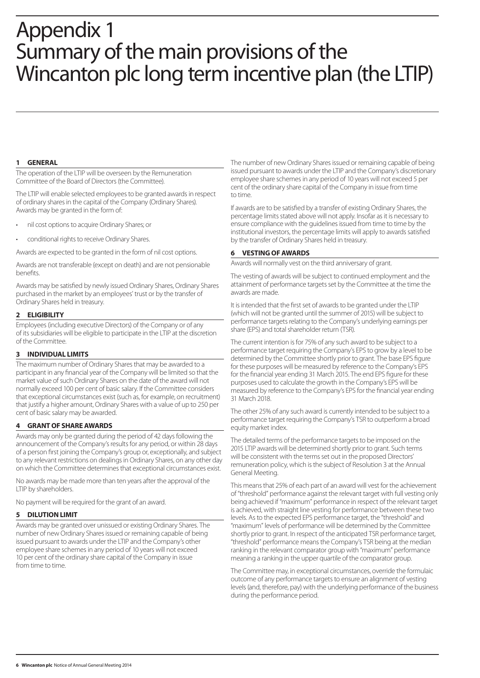# Appendix 1 Summary of the main provisions of the Wincanton plc long term incentive plan (the LTIP)

#### **1 GENERAL**

The operation of the LTIP will be overseen by the Remuneration Committee of the Board of Directors (the Committee).

The LTIP will enable selected employees to be granted awards in respect of ordinary shares in the capital of the Company (Ordinary Shares). Awards may be granted in the form of:

- nil cost options to acquire Ordinary Shares; or
- conditional rights to receive Ordinary Shares.

Awards are expected to be granted in the form of nil cost options.

Awards are not transferable (except on death) and are not pensionable benefits.

Awards may be satisfied by newly issued Ordinary Shares, Ordinary Shares purchased in the market by an employees' trust or by the transfer of Ordinary Shares held in treasury.

## **2 ELIGIBILITY**

Employees (including executive Directors) of the Company or of any of its subsidiaries will be eligible to participate in the LTIP at the discretion of the Committee.

## **3 INDIVIDUAL LIMITS**

The maximum number of Ordinary Shares that may be awarded to a participant in any financial year of the Company will be limited so that the market value of such Ordinary Shares on the date of the award will not normally exceed 100 per cent of basic salary. If the Committee considers that exceptional circumstances exist (such as, for example, on recruitment) that justify a higher amount, Ordinary Shares with a value of up to 250 per cent of basic salary may be awarded.

# **4 GRANT OF SHARE AWARDS**

Awards may only be granted during the period of 42 days following the announcement of the Company's results for any period, or within 28 days of a person first joining the Company's group or, exceptionally, and subject to any relevant restrictions on dealings in Ordinary Shares, on any other day on which the Committee determines that exceptional circumstances exist.

No awards may be made more than ten years after the approval of the LTIP by shareholders.

No payment will be required for the grant of an award.

## **5 DILUTION LIMIT**

Awards may be granted over unissued or existing Ordinary Shares. The number of new Ordinary Shares issued or remaining capable of being issued pursuant to awards under the LTIP and the Company's other employee share schemes in any period of 10 years will not exceed 10 per cent of the ordinary share capital of the Company in issue from time to time.

The number of new Ordinary Shares issued or remaining capable of being issued pursuant to awards under the LTIP and the Company's discretionary employee share schemes in any period of 10 years will not exceed 5 per cent of the ordinary share capital of the Company in issue from time to time.

If awards are to be satisfied by a transfer of existing Ordinary Shares, the percentage limits stated above will not apply. Insofar as it is necessary to ensure compliance with the guidelines issued from time to time by the institutional investors, the percentage limits will apply to awards satisfied by the transfer of Ordinary Shares held in treasury.

# **6 VESTING OF AWARDS**

Awards will normally vest on the third anniversary of grant.

The vesting of awards will be subject to continued employment and the attainment of performance targets set by the Committee at the time the awards are made.

It is intended that the first set of awards to be granted under the LTIP (which will not be granted until the summer of 2015) will be subject to performance targets relating to the Company's underlying earnings per share (EPS) and total shareholder return (TSR).

The current intention is for 75% of any such award to be subject to a performance target requiring the Company's EPS to grow by a level to be determined by the Committee shortly prior to grant. The base EPS figure for these purposes will be measured by reference to the Company's EPS for the financial year ending 31 March 2015. The end EPS figure for these purposes used to calculate the growth in the Company's EPS will be measured by reference to the Company's EPS for the financial year ending 31 March 2018.

The other 25% of any such award is currently intended to be subject to a performance target requiring the Company's TSR to outperform a broad equity market index.

The detailed terms of the performance targets to be imposed on the 2015 LTIP awards will be determined shortly prior to grant. Such terms will be consistent with the terms set out in the proposed Directors' remuneration policy, which is the subject of Resolution 3 at the Annual General Meeting.

This means that 25% of each part of an award will vest for the achievement of "threshold" performance against the relevant target with full vesting only being achieved if "maximum" performance in respect of the relevant target is achieved, with straight line vesting for performance between these two levels. As to the expected EPS performance target, the "threshold" and "maximum" levels of performance will be determined by the Committee shortly prior to grant. In respect of the anticipated TSR performance target, "threshold" performance means the Company's TSR being at the median ranking in the relevant comparator group with "maximum" performance meaning a ranking in the upper quartile of the comparator group.

The Committee may, in exceptional circumstances, override the formulaic outcome of any performance targets to ensure an alignment of vesting levels (and, therefore, pay) with the underlying performance of the business during the performance period.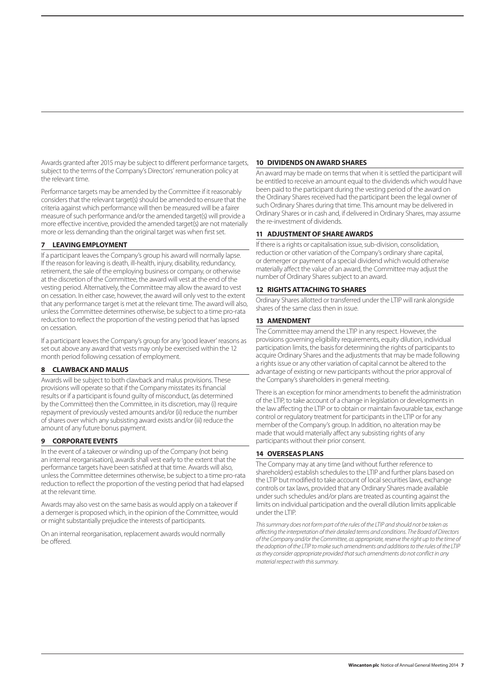Awards granted after 2015 may be subject to different performance targets, subject to the terms of the Company's Directors' remuneration policy at the relevant time.

Performance targets may be amended by the Committee if it reasonably considers that the relevant target(s) should be amended to ensure that the criteria against which performance will then be measured will be a fairer measure of such performance and/or the amended target(s) will provide a more effective incentive, provided the amended target(s) are not materially more or less demanding than the original target was when first set.

## **7 LEAVING EMPLOYMENT**

If a participant leaves the Company's group his award will normally lapse. If the reason for leaving is death, ill-health, injury, disability, redundancy, retirement, the sale of the employing business or company, or otherwise at the discretion of the Committee, the award will vest at the end of the vesting period. Alternatively, the Committee may allow the award to vest on cessation. In either case, however, the award will only vest to the extent that any performance target is met at the relevant time. The award will also, unless the Committee determines otherwise, be subject to a time pro-rata reduction to reflect the proportion of the vesting period that has lapsed on cessation.

If a participant leaves the Company's group for any 'good leaver' reasons as set out above any award that vests may only be exercised within the 12 month period following cessation of employment.

## **8 CLAWBACK AND MALUS**

Awards will be subject to both clawback and malus provisions. These provisions will operate so that if the Company misstates its financial results or if a participant is found guilty of misconduct, (as determined by the Committee) then the Committee, in its discretion, may (i) require repayment of previously vested amounts and/or (ii) reduce the number ofshares over which any subsisting award exists and/or (iii) reduce the amount of any future bonus payment.

# **9 CORPORATE EVENTS**

In the event of a takeover or winding up of the Company (not being an internal reorganisation), awards shall vest early to the extent that the performance targets have been satisfied at that time. Awards will also, unless the Committee determines otherwise, be subject to a time pro-rata reduction to reflect the proportion of the vesting period that had elapsed at the relevant time.

Awards may also vest on the same basis as would apply on a takeover if a demerger is proposed which, in the opinion of the Committee, would or might substantially prejudice the interests of participants.

On an internal reorganisation, replacement awards would normally be offered.

# **10 DIVIDENDS ON AWARD SHARES**

An award may be made on terms that when it is settled the participant will be entitled to receive an amount equal to the dividends which would have been paid to the participant during the vesting period of the award on the Ordinary Shares received had the participant been the legal owner of such Ordinary Shares during that time. This amount may be delivered in Ordinary Shares or in cash and, if delivered in Ordinary Shares, may assume the re-investment of dividends.

## **11 ADJUSTMENT OF SHARE AWARDS**

If there is a rights or capitalisation issue, sub-division, consolidation, reduction or other variation of the Company's ordinary share capital, or demerger or payment of a special dividend which would otherwise materially affect the value of an award, the Committee may adjust the number of Ordinary Shares subject to an award.

# **12 RIGHTS ATTACHING TO SHARES**

Ordinary Shares allotted or transferred under the LTIP will rank alongside shares of the same class then in issue.

# **13 AMENDMENT**

The Committee may amend the LTIP in any respect. However, the provisions governing eligibility requirements, equity dilution, individual participation limits, the basis for determining the rights of participants to acquire Ordinary Shares and the adjustments that may be made following a rights issue or any other variation of capital cannot be altered to the advantage of existing or new participants without the prior approval of the Company's shareholders in general meeting.

There is an exception for minor amendments to benefit the administration of the LTIP, to take account of a change in legislation or developments in the law affecting the LTIP or to obtain or maintain favourable tax, exchange control or regulatory treatment for participants in the LTIP or for any member of the Company's group. In addition, no alteration may be made that would materially affect any subsisting rights of any participants without their prior consent.

# **14 OVERSEAS PLANS**

The Company may at any time (and without further reference to shareholders) establish schedules to the LTIP and further plans based on the LTIP but modified to take account of local securities laws, exchange controls or tax laws, provided that any Ordinary Shares made available under such schedules and/or plans are treated as counting against the limits on individual participation and the overall dilution limits applicable under the LTIP.

*This summary does not form part of the rules of the LTIP and should not be taken as affecting the interpretation of their detailed terms and conditions. The Board of Directors of the Company and/or the Committee, as appropriate, reserve the right up to the time of the adoption of the LTIP to make such amendments and additions to the rules of the LTIP as they consider appropriate provided that such amendments do not conflict in any material respect with this summary.*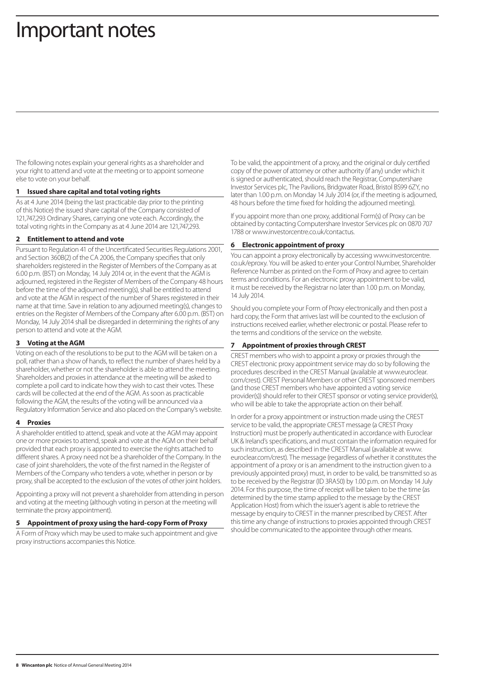# Important notes

The following notes explain your general rights as a shareholder and your right to attend and vote at the meeting or to appoint someone else to vote on your behalf.

## **1 Issued share capital and total voting rights**

As at 4 June 2014 (being the last practicable day prior to the printing of this Notice) the issued share capital of the Company consisted of 121,747,293 Ordinary Shares, carrying one vote each. Accordingly, the total voting rights in the Company as at 4 June 2014 are 121,747,293.

## **2 Entitlement to attend and vote**

Pursuant to Regulation 41 of the Uncertificated Securities Regulations 2001, and Section 360B(2) of the CA 2006, the Company specifies that only shareholders registered in the Register of Members of the Company as at 6.00 p.m. (BST) on Monday, 14 July 2014 or, in the event that the AGM is adjourned, registered in the Register of Members of the Company 48 hours before the time of the adjourned meeting(s), shall be entitled to attend and vote at the AGM in respect of the number of Shares registered in their name at that time. Save in relation to any adjourned meeting(s), changes to entries on the Register of Members of the Company after 6.00 p.m. (BST) on Monday, 14 July 2014 shall be disregarded in determining the rights of any person to attend and vote at the AGM.

# **3 Voting at the AGM**

Voting on each of the resolutions to be put to the AGM will be taken on a poll, rather than a show of hands, to reflect the number of shares held by a shareholder, whether or not the shareholder is able to attend the meeting. Shareholders and proxies in attendance at the meeting will be asked to complete a poll card to indicate how they wish to cast their votes. These cards will be collected at the end of the AGM. As soon as practicable following the AGM, the results of the voting will be announced via a Regulatory Information Service and also placed on the Company's website.

## **4 Proxies**

A shareholder entitled to attend, speak and vote at the AGM may appoint one or more proxies to attend, speak and vote at the AGM on their behalf provided that each proxy is appointed to exercise the rights attached to different shares. A proxy need not be a shareholder of the Company. In the case of joint shareholders, the vote of the first named in the Register of Members of the Company who tenders a vote, whether in person or by proxy, shall be accepted to the exclusion of the votes of other joint holders.

Appointing a proxy will not prevent a shareholder from attending in person and voting at the meeting (although voting in person at the meeting will terminate the proxy appointment).

# **5 Appointment of proxy using the hard-copy Form of Proxy**

A Form of Proxy which may be used to make such appointment and give proxy instructions accompanies this Notice.

To be valid, the appointment of a proxy, and the original or duly certified copy of the power of attorney or other authority (if any) under which it is signed or authenticated, should reach the Registrar, Computershare Investor Services plc, The Pavilions, Bridgwater Road, Bristol BS99 6ZY, no later than 1.00 p.m. on Monday 14 July 2014 (or, if the meeting is adjourned, 48 hours before the time fixed for holding the adjourned meeting).

If you appoint more than one proxy, additional Form(s) of Proxy can be obtained by contacting Computershare Investor Services plc on 0870 707 1788 or www.investorcentre.co.uk/contactus.

# **6 Electronic appointment of proxy**

You can appoint a proxy electronically by accessing www.investorcentre. co.uk/eproxy. You will be asked to enter your Control Number, Shareholder Reference Number as printed on the Form of Proxy and agree to certain terms and conditions. For an electronic proxy appointment to be valid, it must be received by the Registrar no later than 1.00 p.m. on Monday, 14 July 2014.

Should you complete your Form of Proxy electronically and then post a hard copy, the Form that arrives last will be counted to the exclusion of instructions received earlier, whether electronic or postal. Please refer to the terms and conditions of the service on the website.

# **7 Appointment of proxies through CREST**

CREST members who wish to appoint a proxy or proxies through the CREST electronic proxy appointment service may do so by following the procedures described in the CREST Manual (available at www.euroclear. com/crest). CREST Personal Members or other CREST sponsored members (and those CREST members who have appointed a voting service provider(s)) should refer to their CREST sponsor or voting service provider(s), who will be able to take the appropriate action on their behalf.

In order for a proxy appointment or instruction made using the CREST service to be valid, the appropriate CREST message (a CREST Proxy Instruction) must be properly authenticated in accordance with Euroclear UK & Ireland's specifications, and must contain the information required for such instruction, as described in the CREST Manual (available at www. euroclear.com/crest). The message (regardless of whether it constitutes the appointment of a proxy or is an amendment to the instruction given to a previously appointed proxy) must, in order to be valid, be transmitted so as to be received by the Registrar (ID 3RA50) by 1.00 p.m. on Monday 14 July 2014. For this purpose, the time of receipt will be taken to be the time (as determined by the time stamp applied to the message by the CREST Application Host) from which the issuer's agent is able to retrieve the message by enquiry to CREST in the manner prescribed by CREST. After this time any change of instructions to proxies appointed through CREST should be communicated to the appointee through other means.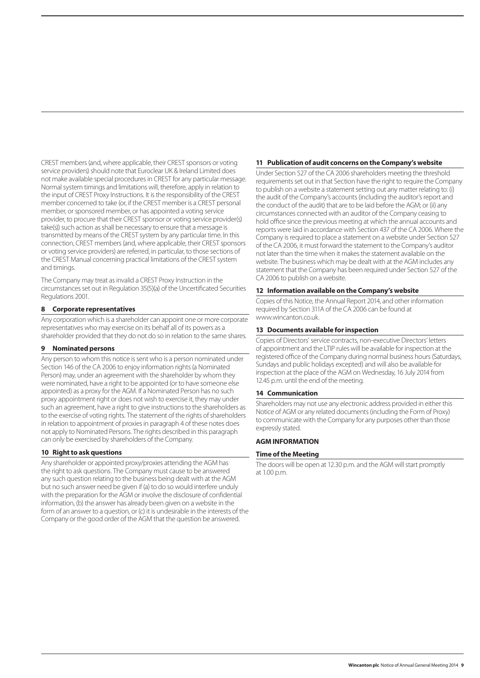CREST members (and, where applicable, their CREST sponsors or voting service providers) should note that Euroclear UK & Ireland Limited does not make available special procedures in CREST for any particular message. Normal system timings and limitations will, therefore, apply in relation to the input of CREST Proxy Instructions. It is the responsibility of the CREST member concerned to take (or, if the CREST member is a CREST personal member, or sponsored member, or has appointed a voting service provider, to procure that their CREST sponsor or voting service provider(s) take(s)) such action as shall be necessary to ensure that a message is transmitted by means of the CREST system by any particular time. In this connection, CREST members (and, where applicable, their CREST sponsors or voting service providers) are referred, in particular, to those sections of the CREST Manual concerning practical limitations of the CREST system and timings.

The Company may treat as invalid a CREST Proxy Instruction in the circumstances set out in Regulation 35(5)(a) of the Uncertificated Securities Regulations 2001.

## **8 Corporate representatives**

Any corporation which is a shareholder can appoint one or more corporate representatives who may exercise on its behalf all of its powers as a shareholder provided that they do not do so in relation to the same shares.

## **9 Nominated persons**

Any person to whom this notice is sent who is a person nominated under Section 146 of the CA 2006 to enjoy information rights (a Nominated Person) may, under an agreement with the shareholder by whom they were nominated, have a right to be appointed (or to have someone else appointed) as a proxy for the AGM. If a Nominated Person has no such proxy appointment right or does not wish to exercise it, they may under such an agreement, have a right to give instructions to the shareholders as to the exercise of voting rights. The statement of the rights of shareholders in relation to appointment of proxies in paragraph 4 of these notes does not apply to Nominated Persons. The rights described in this paragraph can only be exercised by shareholders of the Company.

# **10 Right to ask questions**

Any shareholder or appointed proxy/proxies attending the AGM has the right to ask questions. The Company must cause to be answered any such question relating to the business being dealt with at the AGM but no such answer need be given if (a) to do so would interfere unduly with the preparation for the AGM or involve the disclosure of confidential information, (b) the answer has already been given on a website in the form of an answer to a question, or (c) it is undesirable in the interests of the Company or the good order of the AGM that the question be answered.

#### **11 Publication of audit concerns on the Company's website**

Under Section 527 of the CA 2006 shareholders meeting the threshold requirements set out in that Section have the right to require the Company to publish on a website a statement setting out any matter relating to: (i) the audit of the Company's accounts (including the auditor's report and the conduct of the audit) that are to be laid before the AGM; or (ii) any circumstances connected with an auditor of the Company ceasing to hold office since the previous meeting at which the annual accounts and reports were laid in accordance with Section 437 of the CA 2006. Where the Company is required to place a statement on a website under Section 527 of the CA 2006, it must forward the statement to the Company's auditor not later than the time when it makes the statement available on the website. The business which may be dealt with at the AGM includes any statement that the Company has been required under Section 527 of the CA 2006 to publish on a website.

## **12 Information available on the Company's website**

Copies of this Notice, the Annual Report 2014, and other information required by Section 311A of the CA 2006 can be found at www.wincanton.co.uk.

#### **13 Documents available for inspection**

Copies of Directors' service contracts, non-executive Directors' letters of appointment and the LTIP rules will be available for inspection at the registered office of the Company during normal business hours (Saturdays, Sundays and public holidays excepted) and will also be available for inspection at the place of the AGM on Wednesday, 16 July 2014 from 12.45 p.m. until the end of the meeting.

## **14 Communication**

Shareholders may not use any electronic address provided in either this Notice of AGM or any related documents (including the Form of Proxy) to communicate with the Company for any purposes other than those expressly stated.

## **AGM INFORMATION**

## **Time of the Meeting**

The doors will be open at 12.30 p.m. and the AGM will start promptly at 1.00 p.m.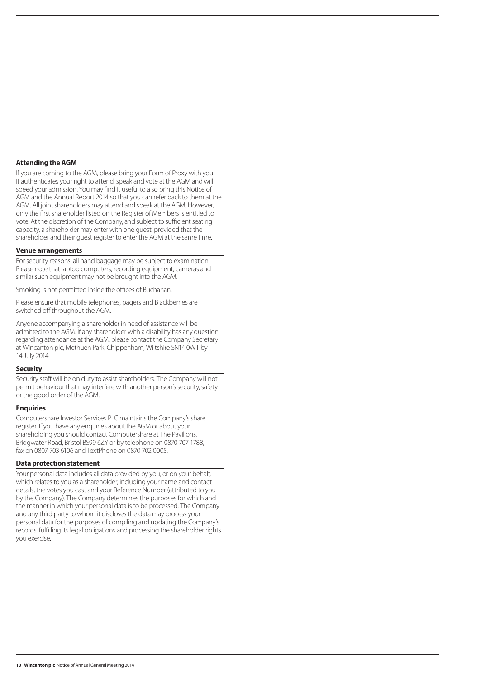#### **Attending the AGM**

If you are coming to the AGM, please bring your Form of Proxy with you. It authenticates your right to attend, speak and vote at the AGM and will speed your admission. You may find it useful to also bring this Notice of AGM and the Annual Report 2014 so that you can refer back to them at the AGM. All joint shareholders may attend and speak at the AGM. However, only the first shareholder listed on the Register of Members is entitled to vote. At the discretion of the Company, and subject to sufficient seating capacity, a shareholder may enter with one guest, provided that the shareholder and their guest register to enter the AGM at the same time.

#### **Venue arrangements**

For security reasons, all hand baggage may be subject to examination. Please note that laptop computers, recording equipment, cameras and similar such equipment may not be brought into the AGM.

Smoking is not permitted inside the offices of Buchanan.

Please ensure that mobile telephones, pagers and Blackberries are switched off throughout the AGM.

Anyone accompanying a shareholder in need of assistance will be admitted to the AGM. If any shareholder with a disability has any question regarding attendance at the AGM, please contact the Company Secretary at Wincanton plc, Methuen Park, Chippenham, Wiltshire SN14 0WT by 14 July 2014.

#### **Security**

Security staff will be on duty to assist shareholders. The Company will not permit behaviour that may interfere with another person's security, safety or the good order of the AGM.

#### **Enquiries**

Computershare Investor Services PLC maintains the Company's share register. If you have any enquiries about the AGM or about your shareholding you should contact Computershare at The Pavilions, Bridgwater Road, Bristol BS99 6ZY or by telephone on 0870 707 1788, fax on 0807 703 6106 and TextPhone on 0870 702 0005.

#### **Data protection statement**

Your personal data includes all data provided by you, or on your behalf, which relates to you as a shareholder, including your name and contact details, the votes you cast and your Reference Number (attributed to you by the Company). The Company determines the purposes for which and the manner in which your personal data is to be processed. The Company and any third party to whom it discloses the data may process your personal data for the purposes of compiling and updating the Company's records, fulfilling its legal obligations and processing the shareholder rights you exercise.